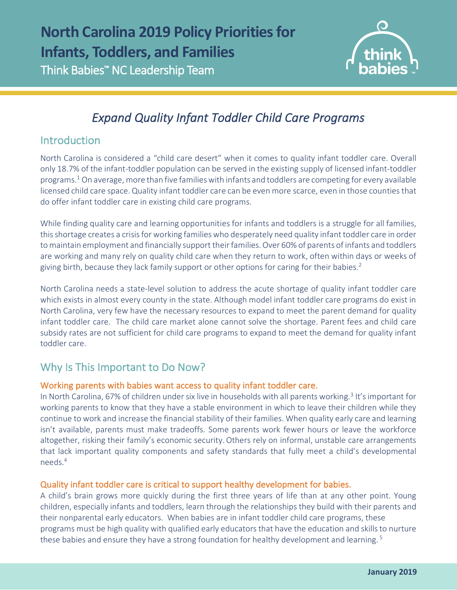

# *Expand Quality Infant Toddler Child Care Programs*

## Introduction

l

North Carolina is considered a "child care desert" when it comes to quality infant toddler care. Overall only 18.7% of the infant-toddler population can be served in the existing supply of licensed infant-toddler programs.<sup>1</sup> On average, more than five families with infants and toddlers are competing for every available licensed child care space. Quality infant toddler care can be even more scarce, even in those counties that do offer infant toddler care in existing child care programs.

While finding quality care and learning opportunities for infants and toddlers is a struggle for all families, this shortage creates a crisis for working families who desperately need quality infant toddler care in order to maintain employment and financially support their families. Over 60% of parents of infants and toddlers are working and many rely on quality child care when they return to work, often within days or weeks of giving birth, because they lack family support or other options for caring for their babies.<sup>2</sup>

North Carolina needs a state-level solution to address the acute shortage of quality infant toddler care which exists in almost every county in the state. Although model infant toddler care programs do exist in North Carolina, very few have the necessary resources to expand to meet the parent demand for quality infant toddler care. The child care market alone cannot solve the shortage. Parent fees and child care subsidy rates are not sufficient for child care programs to expand to meet the demand for quality infant toddler care.

## Why Is This Important to Do Now?

## Working parents with babies want access to quality infant toddler care.

In North Carolina, 67% of children under six live in households with all parents working.<sup>3</sup> It's important for working parents to know that they have a stable environment in which to leave their children while they continue to work and increase the financial stability of their families. When quality early care and learning isn't available, parents must make tradeoffs. Some parents work fewer hours or leave the workforce altogether, risking their family's economic security.Others rely on informal, unstable care arrangements that lack important quality components and safety standards that fully meet a child's developmental needs.4

## Quality infant toddler care is critical to support healthy development for babies.

A child's brain grows more quickly during the first three years of life than at any other point. Young children, especially infants and toddlers, learn through the relationships they build with their parents and their nonparental early educators. When babies are in infant toddler child care programs, these programs must be high quality with qualified early educatorsthat have the education and skills to nurture these babies and ensure they have a strong foundation for healthy development and learning.<sup>5</sup>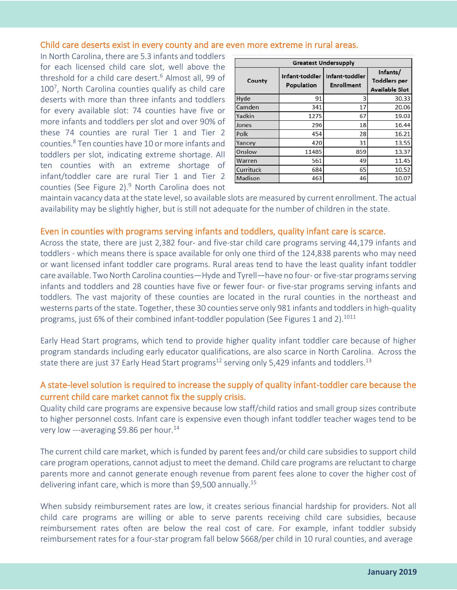#### Child care deserts exist in every county and are even more extreme in rural areas.

In North Carolina, there are 5.3 infants and toddlers for each licensed child care slot, well above the threshold for a child care desert.<sup>6</sup> Almost all, 99 of 1007, North Carolina counties qualify as child care deserts with more than three infants and toddlers for every available slot: 74 counties have five or more infants and toddlers per slot and over 90% of these 74 counties are rural Tier 1 and Tier 2 counties.8 Ten counties have 10 or more infants and toddlers per slot, indicating extreme shortage. All ten counties with an extreme shortage of infant/toddler care are rural Tier 1 and Tier 2 counties (See Figure 2).<sup>9</sup> North Carolina does not

| <b>Greatest Undersupply</b> |            |                                                      |                                                          |  |  |  |  |  |  |  |
|-----------------------------|------------|------------------------------------------------------|----------------------------------------------------------|--|--|--|--|--|--|--|
| County                      | Population | Infant-toddler   Infant-toddler<br><b>Enrollment</b> | Infants/<br><b>Toddlers</b> per<br><b>Available Slot</b> |  |  |  |  |  |  |  |
| Hyde                        | 91         | 3                                                    | 30.33                                                    |  |  |  |  |  |  |  |
| Camden                      | 341        | 17                                                   | 20.06                                                    |  |  |  |  |  |  |  |
| Yadkin                      | 1275       | 67                                                   | 19.03                                                    |  |  |  |  |  |  |  |
| Jones                       | 296        | 18                                                   | 16.44                                                    |  |  |  |  |  |  |  |
| Polk                        | 454        | 28                                                   | 16.21                                                    |  |  |  |  |  |  |  |
| Yancey                      | 420        | 31                                                   | 13.55                                                    |  |  |  |  |  |  |  |
| Onslow                      | 11485      | 859                                                  | 13.37                                                    |  |  |  |  |  |  |  |
| Warren                      | 561        | 49                                                   | 11.45                                                    |  |  |  |  |  |  |  |
| Currituck                   | 684        | 65                                                   | 10.52                                                    |  |  |  |  |  |  |  |
| Madison                     | 463        | 46                                                   | 10.07                                                    |  |  |  |  |  |  |  |

maintain vacancy data at the state level, so available slots are measured by current enrollment. The actual availability may be slightly higher, but is still not adequate for the number of children in the state.

#### Even in counties with programs serving infants and toddlers, quality infant care is scarce.

Across the state, there are just 2,382 four- and five-star child care programs serving 44,179 infants and toddlers - which means there is space available for only one third of the 124,838 parents who may need or want licensed infant toddler care programs. Rural areas tend to have the least quality infant toddler care available. Two North Carolina counties—Hyde and Tyrell—have no four- or five-star programs serving infants and toddlers and 28 counties have five or fewer four- or five-star programs serving infants and toddlers. The vast majority of these counties are located in the rural counties in the northeast and westerns parts of the state. Together, these 30 counties serve only 981 infants and toddlers in high-quality programs, just 6% of their combined infant-toddler population (See Figures 1 and 2).<sup>1011</sup>

Early Head Start programs, which tend to provide higher quality infant toddler care because of higher program standards including early educator qualifications, are also scarce in North Carolina. Across the state there are just 37 Early Head Start programs<sup>12</sup> serving only 5,429 infants and toddlers.<sup>13</sup>

### A state-level solution is required to increase the supply of quality infant-toddler care because the current child care market cannot fix the supply crisis.

Quality child care programs are expensive because low staff/child ratios and small group sizes contribute to higher personnel costs. Infant care is expensive even though infant toddler teacher wages tend to be very low ---averaging \$9.86 per hour.<sup>14</sup>

The current child care market, which is funded by parent fees and/or child care subsidies to support child care program operations, cannot adjust to meet the demand. Child care programs are reluctant to charge parents more and cannot generate enough revenue from parent fees alone to cover the higher cost of delivering infant care, which is more than \$9,500 annually.<sup>15</sup>

When subsidy reimbursement rates are low, it creates serious financial hardship for providers. Not all child care programs are willing or able to serve parents receiving child care subsidies, because reimbursement rates often are below the real cost of care. For example, infant toddler subsidy reimbursement rates for a four-star program fall below \$668/per child in 10 rural counties, and average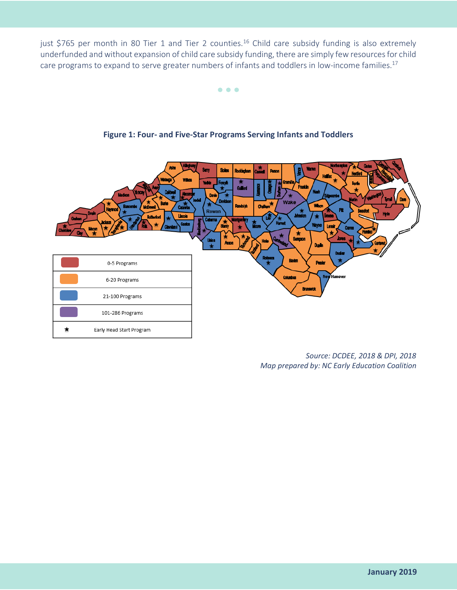just \$765 per month in 80 Tier 1 and Tier 2 counties.<sup>16</sup> Child care subsidy funding is also extremely underfunded and without expansion of child care subsidy funding, there are simply few resources for child care programs to expand to serve greater numbers of infants and toddlers in low-income families.<sup>17</sup>

• • •



#### **Figure 1: Four- and Five-Star Programs Serving Infants and Toddlers**

*Source: DCDEE, 2018 & DPI, 2018 Map prepared by: NC Early Education Coalition*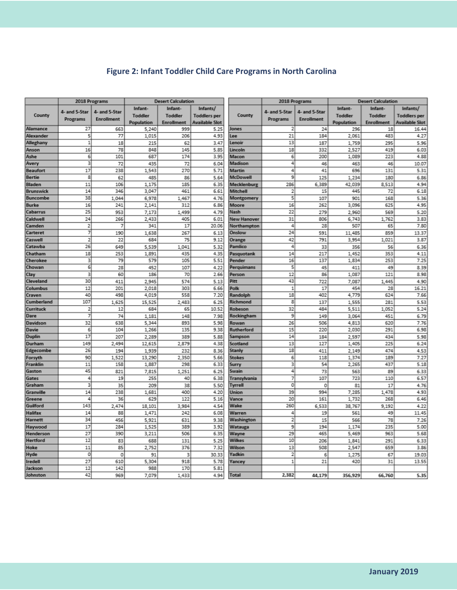## **Figure 2: Infant Toddler Child Care Programs in North Carolina**

|                     | 2018 Programs    |                   | <b>Desert Calculation</b> |                   |                     | 2018 Programs          |                |                   | <b>Desert Calculation</b> |                   |                     |
|---------------------|------------------|-------------------|---------------------------|-------------------|---------------------|------------------------|----------------|-------------------|---------------------------|-------------------|---------------------|
|                     | 4- and 5-Star    | 4- and 5-Star     | Infant-                   | Infant-           | Infants/            |                        | 4- and 5-Star  | 4- and 5-Star     | Infant-                   | Infant-           | Infants/            |
| County              | <b>Programs</b>  | <b>Enrollment</b> | <b>Toddler</b>            | <b>Toddler</b>    | <b>Toddlers</b> per | County                 | Programs       | <b>Enrollment</b> | <b>Toddler</b>            | <b>Toddler</b>    | <b>Toddlers</b> per |
|                     |                  |                   | Population                | <b>Enrollment</b> | Available Slot      |                        |                |                   | Population                | <b>Enrollment</b> | Available Slot      |
| Alamance            | 27               | 663               | 5.240                     | 999               | 5.25                | Jones                  | 2              | 24                | 296                       | 18                | 16.44               |
| Alexander           | 5                | 77                | 1.015                     | 206               | 4.93                | Lee                    | 21             | 184               | 2.061                     | 483               | 4.27                |
| Alleghany           | $\overline{1}$   | 18                | 215                       | 62                | 3.47                | Lenoir                 | 13             | 187               | 1,759                     | 295               | 5.96                |
| Anson<br>Ashe       | 16<br>$\epsilon$ | 78<br>101         | 848<br>687                | 145<br>174        | 5.85<br>3.95        | Lincoln<br>Macon       | 18<br>6        | 332<br>200        | 2,527<br>1.089            | 419<br>223        | 6.03<br>4.88        |
| Avery               | з                | 72                | 435                       | 72                | 6.04                | Madison                | 4              | 46                | 463                       | 46                | 10.07               |
| <b>Beaufort</b>     | 17               | 238               | 1,543                     | 270               | 5.71                | <b>Martin</b>          | 4              | 41                | 696                       | 131               | 5.31                |
| <b>Bertie</b>       | 8                | 62                | 485                       | 86                | 5.64                | <b>McDowell</b>        | 9              | 125               | 1.234                     | 180               | 6.86                |
| Bladen              | 11               | 106               | 1.175                     | 185               | 6.35                | Mecklenburg            | 286            | 6,389             | 42,039                    | 8,513             | 4.94                |
| <b>Brunswick</b>    | 14               | 346               | 3,047                     | 461               | 6.61                | Mitchell               | 2              | 15                | 445                       | 72                | 6.18                |
| <b>Buncombe</b>     | 38               | 1,044             | 6,978                     | 1,467             | 4.76                | Montgomery             | 5              | 107               | 901                       | 168               | 5.36                |
| <b>Burke</b>        | 16               | 241               | 2,141                     | 312               | 6.86                | Moore                  | 16             | 262               | 3.096                     | 625               | 4.95                |
| Cabarrus            | 25               | 953               | 7,173                     | 1,499             | 4.79                | Nash                   | 22             | 279               | 2,960                     | 569               | 5.20                |
| Caldwell            | 24               | 266               | 2,433                     | 405               | 6.01                | <b>New Hanover</b>     | 31             | 806               | 6,743                     | 1,762             | 3.83                |
| Camden              | $\overline{2}$   | 7                 | 341                       | 17                | 20.06               | Northampton            | 4              | 28                | 507                       | 65                | 7.80                |
| Carteret            | 7                | 190               | 1,638                     | 267               | 6.13                | Onslow                 | 24             | 591               | 11,485                    | 859               | 13.37               |
| Caswell             | 21               | 22                | 684                       | 75                | 9.12                | Orange                 | 42             | 791               | 3,954                     | 1,021             | 3.87                |
| Catawba             | 26               | 649               | 5,539                     | 1,041             | 5.32                | Pamlico                | 4              | 33                | 356                       | 56                | 6.36                |
| Chatham             | 18               | 253               | 1,891                     | 435               | 4.35                | Pasquotank             | 14             | 217               | 1,452                     | 353               | 4.11                |
| Cherokee            | 3                | 79                | 579                       | 105               | 5.51                | Pender                 | 16             | 137               | 1,834                     | 253               | 7.25                |
| Chowan              | $\overline{6}$   | 28                | 452                       | 107               | 4.22                | Perquimans             | 5              | 45                | 411                       | 49                | 8.39                |
| Clay                | 3                | 60                | 186                       | 70                | 2.66                | Person                 | 12             | 86                | 1.087                     | 121               | 8.98                |
| Cleveland           | 30               | 411               | 2.945                     | 574               | 5.13                | Pitt                   | 43             | 722               | 7.087                     | 1,445             | 4.90                |
| Columbus            | 12               | 201               | 2.018                     | 303               | 6.66                | Polk                   | $\mathbf{1}$   | 17                | 454                       | 28                | 16.21               |
| Craven              | 40               | 498               | 4,019                     | 558               | 7.20                | Randolph               | 18             | 402               | 4,779                     | 624               | 7.66                |
| Cumberland          | 107              | 1,625             | 15,525                    | 2,483             | 6.25                | Richmond               | 8              | 137               | 1,555                     | 281               | 5.53                |
| Currituck           | $\overline{2}$   | 12                | 684                       | 65                | 10.52               | Robeson                | 32             | 484               | 5,511                     | 1.052             | 5.24                |
| Dare                | 7                | 74                | 1.181                     | 148               | 7.98                | Rockingham             | 9              | 149               | 3.064                     | 451               | 6.79                |
| Davidson            | 32               | 638               | 5,344                     | 893               | 5.98                | Rowan                  | 26             | 506               | 4,813                     | 620               | 7.76                |
| Davie               | 6                | 104               | 1,266                     | 135               | 9.38                | Rutherford             | 15             | 220               | 2,030                     | 291               | 6.98                |
| <b>Duplin</b>       | 17               | 207               | 2.289                     | 389               | 5.88                | Sampson                | 14             | 184               | 2.597                     | 434               | 5.98                |
| Durham              | 149              | 2,494             | 12,615                    | 2,879             | 4.38                | Scotland               | 13             | 127               | 1.405                     | 225               | 6.24                |
| Edgecombe           | 26<br>90         | 194               | 1,939<br>13,290           | 232<br>2,350      | 8.36<br>5.66        | <b>Stanly</b>          | 18<br>6        | 411<br>118        | 2.149<br>1.374            | 474<br>189        | 4.53<br>7.27        |
| Forsyth<br>Franklin | 11               | 1,522<br>158      | 1.887                     | 298               | 6.33                | <b>Stokes</b><br>Surry | 3              | 54                | 2.265                     | 437               | 5.18                |
| Gaston              | 45               | 821               | 7,815                     | 1.251             | 6.25                | Swain                  | 4              | 73                | 563                       | 89                | 6.33                |
| Gates               | $\left 4\right $ | 19                | 255                       | 40                | 6.38                | Transylvania           | 7              | 107               | 723                       | 110               | 6.57                |
| Graham              | з                | 35                | 209                       | 38                | 5.50                | <b>Tyrrell</b>         | 0              | 0                 | 81                        | 17                | 4.76                |
| Granville           | 14               | 238               | 1,681                     | 400               | 4.20                | Union                  | 39             | 994               | 7,285                     | 1,478             | 4.93                |
| Greene              | 4                | 36                | 629                       | 122               | 5.16                | Vance                  | 20             | 161               | 1.732                     | 268               | 6.46                |
| Guilford            | 143              | 2,474             | 18,101                    | 3,984             | 4.54                | Wake                   | 260            | 6,533             | 38,767                    | 9,192             | 4.22                |
| Halifax             | 14               | 88                | 1,471                     | 242               | 6.08                | Warren                 | 4              | 19                | 561                       | 49                | 11.45               |
| Harnett             | 34               | 456               | 5,921                     | 631               | 9.38                | Washington             | $\overline{2}$ | 15                | 566                       | 78                | 7.26                |
| Haywood             | 17               | 284               | 1,525                     | 389               | 3.92                | Watauga                | 9              | 194               | 1.174                     | 235               | 5.00                |
| Henderson           | 27               | 390               | 3,211                     | 506               | 6.35                | Wayne                  | 29             | 465               | 5,469                     | 963               | 5.68                |
| <b>Hertford</b>     | 12               | 83                | 688                       | 131               | 5.25                | <b>Wilkes</b>          | 10             | 206               | 1,841                     | 291               | 6.33                |
| Hoke                | 11               | 85                | 2,752                     | 376               | 7.32                | Wilson                 | 13             | 508               | 2,547                     | 659               | 3.86                |
| Hyde                | $\circ$          | 0                 | 91                        | 3                 | 30.33               | Yadkin                 | $\overline{2}$ | 6                 | 1,275                     | 67                | 19.03               |
| <b>Iredell</b>      | 27               | 610               | 5,304                     | 918               | 5.78                | Yancey                 | 1              | 21                | 420                       | 31                | 13.55               |
| Jackson             | 12               | 142               | 988                       | 170               | 5.81                |                        |                |                   |                           |                   |                     |
| Johnston            | 42               | 969               | 7,079                     | 1,433             | 4.94                | <b>Total</b>           | 2,382          | 44.179            | 356.929                   | 66.760            | 5.35                |